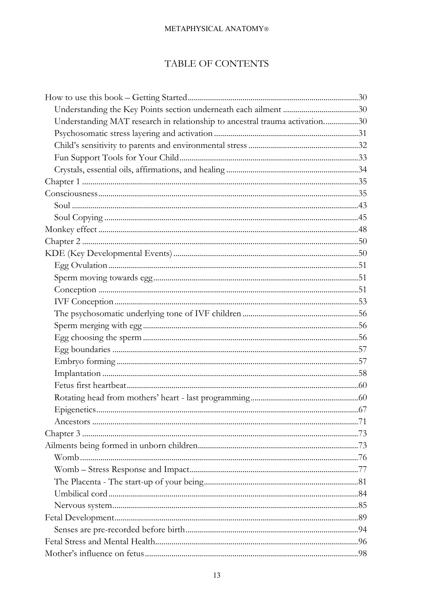# TABLE OF CONTENTS

| Understanding MAT research in relationship to ancestral trauma activation30 |  |
|-----------------------------------------------------------------------------|--|
|                                                                             |  |
|                                                                             |  |
|                                                                             |  |
|                                                                             |  |
|                                                                             |  |
|                                                                             |  |
|                                                                             |  |
|                                                                             |  |
|                                                                             |  |
|                                                                             |  |
|                                                                             |  |
|                                                                             |  |
|                                                                             |  |
|                                                                             |  |
|                                                                             |  |
|                                                                             |  |
|                                                                             |  |
|                                                                             |  |
|                                                                             |  |
|                                                                             |  |
|                                                                             |  |
|                                                                             |  |
|                                                                             |  |
|                                                                             |  |
|                                                                             |  |
|                                                                             |  |
|                                                                             |  |
|                                                                             |  |
|                                                                             |  |
|                                                                             |  |
|                                                                             |  |
|                                                                             |  |
|                                                                             |  |
|                                                                             |  |
|                                                                             |  |
|                                                                             |  |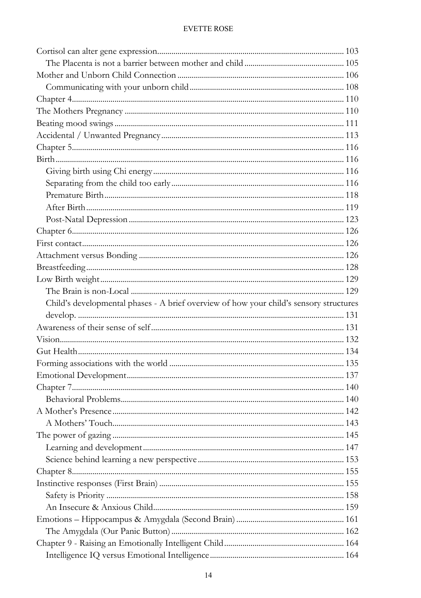| Child's developmental phases - A brief overview of how your child's sensory structures |      |
|----------------------------------------------------------------------------------------|------|
|                                                                                        |      |
|                                                                                        |      |
|                                                                                        |      |
|                                                                                        |      |
|                                                                                        |      |
|                                                                                        |      |
|                                                                                        |      |
|                                                                                        |      |
|                                                                                        |      |
|                                                                                        |      |
| A Mothers' Touch.                                                                      | .143 |
|                                                                                        |      |
|                                                                                        |      |
|                                                                                        |      |
|                                                                                        |      |
|                                                                                        |      |
|                                                                                        |      |
|                                                                                        |      |
|                                                                                        |      |
|                                                                                        |      |
|                                                                                        |      |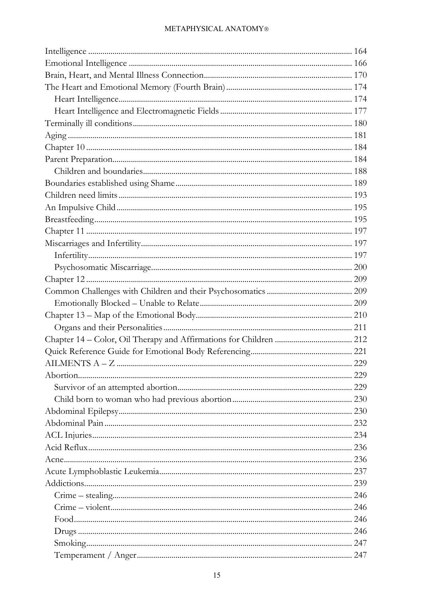| 232 |
|-----|
|     |
| 236 |
|     |
|     |
|     |
|     |
|     |
|     |
|     |
|     |
|     |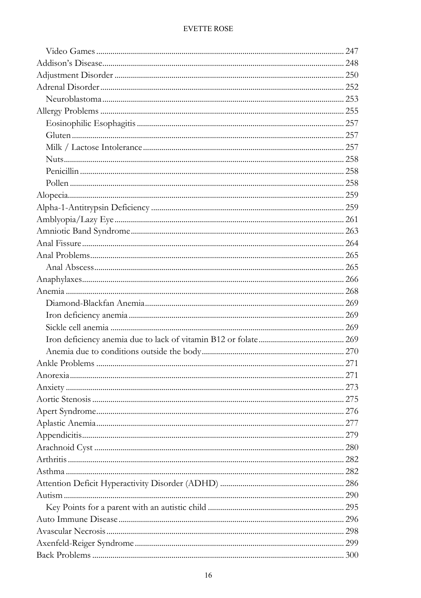| 277 |  |
|-----|--|
|     |  |
|     |  |
|     |  |
|     |  |
|     |  |
|     |  |
|     |  |
|     |  |
|     |  |
|     |  |
|     |  |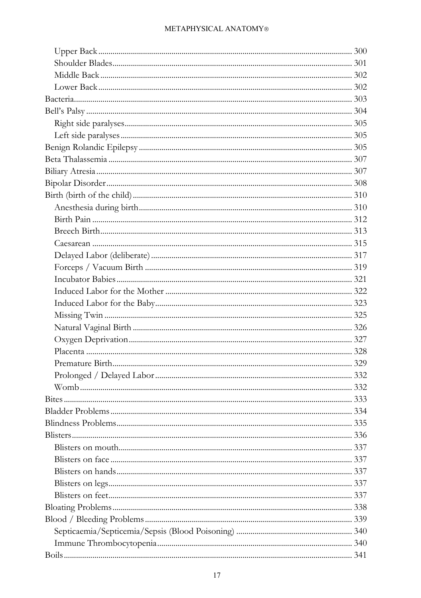| Blindness Problems | 335 |
|--------------------|-----|
|                    |     |
|                    |     |
|                    |     |
|                    |     |
|                    |     |
|                    |     |
|                    |     |
|                    |     |
|                    |     |
|                    |     |
|                    |     |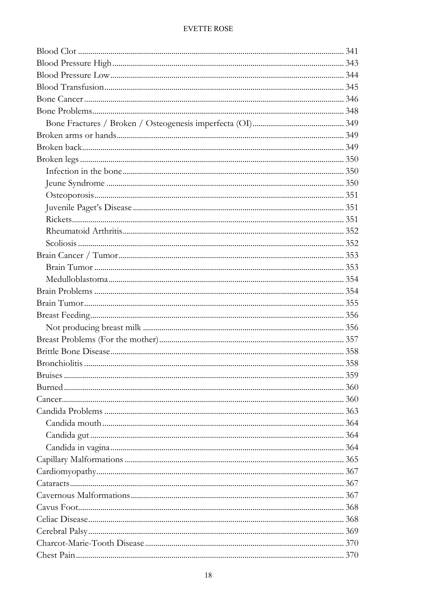| Candida mouth Candidates | 364 |
|--------------------------|-----|
|                          |     |
|                          |     |
|                          |     |
|                          |     |
|                          |     |
|                          |     |
|                          |     |
|                          |     |
|                          |     |
|                          |     |
|                          |     |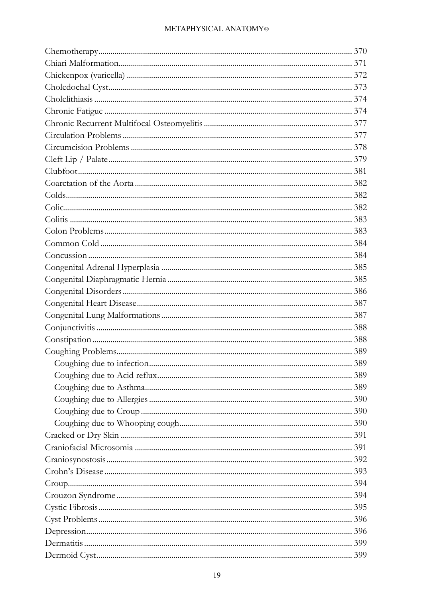| 390 |
|-----|
|     |
|     |
|     |
|     |
|     |
|     |
|     |
|     |
|     |
|     |
|     |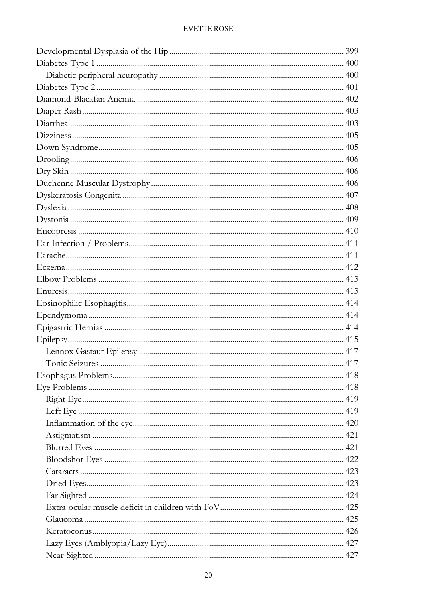| Inflammation of the eye | 420 |
|-------------------------|-----|
|                         |     |
|                         |     |
|                         |     |
|                         |     |
|                         |     |
|                         |     |
|                         |     |
|                         |     |
|                         |     |
|                         |     |
|                         |     |
|                         |     |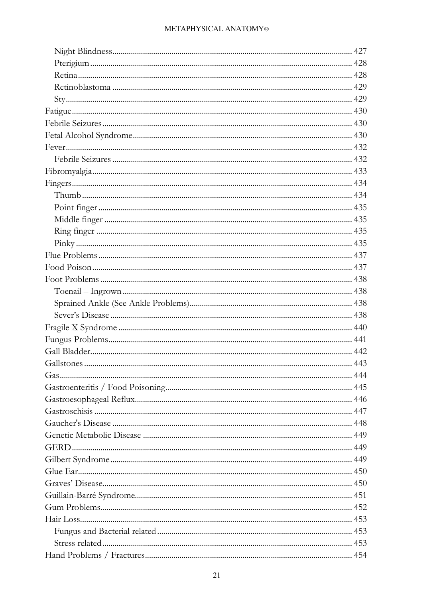| Gaucher's Disease | 448 |
|-------------------|-----|
|                   |     |
|                   |     |
|                   |     |
|                   |     |
|                   |     |
|                   |     |
|                   |     |
|                   |     |
|                   |     |
|                   |     |
|                   |     |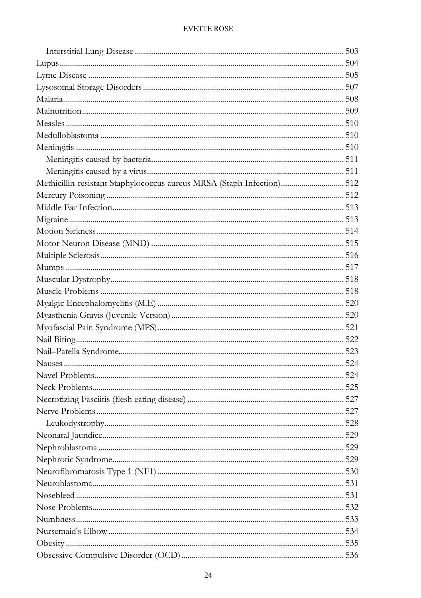| Methicillin-resistant Staphylococcus aureus MRSA (Staph Infection) 512 |     |
|------------------------------------------------------------------------|-----|
|                                                                        |     |
|                                                                        |     |
|                                                                        |     |
|                                                                        |     |
|                                                                        |     |
|                                                                        |     |
|                                                                        |     |
|                                                                        |     |
|                                                                        |     |
|                                                                        |     |
|                                                                        |     |
|                                                                        |     |
|                                                                        |     |
|                                                                        |     |
|                                                                        |     |
|                                                                        |     |
|                                                                        |     |
|                                                                        |     |
|                                                                        |     |
|                                                                        | 528 |
|                                                                        |     |
|                                                                        |     |
|                                                                        |     |
|                                                                        |     |
|                                                                        |     |
|                                                                        |     |
|                                                                        |     |
|                                                                        |     |
|                                                                        |     |
|                                                                        |     |
|                                                                        |     |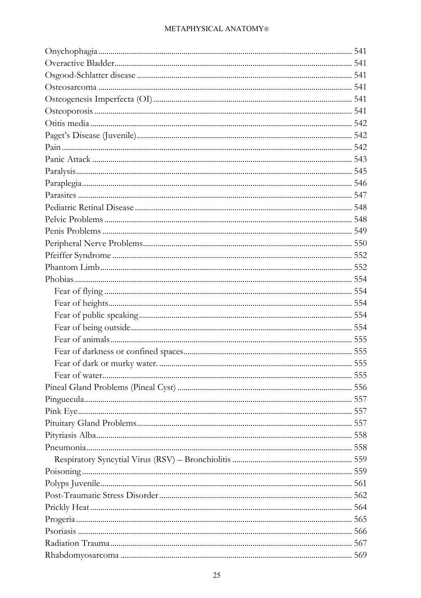| Pituitary Gland Problems<br>557 |  |
|---------------------------------|--|
|                                 |  |
|                                 |  |
|                                 |  |
|                                 |  |
|                                 |  |
|                                 |  |
|                                 |  |
|                                 |  |
|                                 |  |
|                                 |  |
|                                 |  |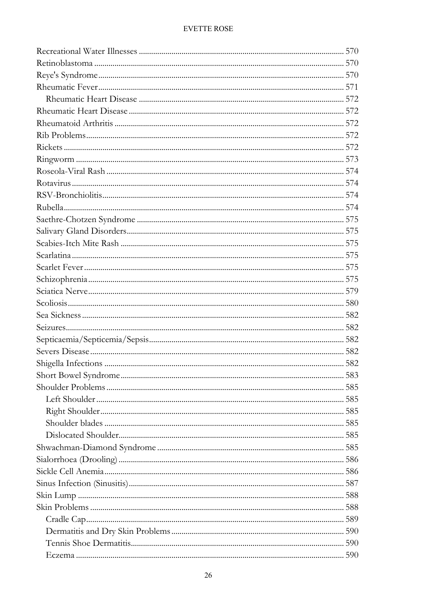| Shoulder blades | 585 |
|-----------------|-----|
|                 |     |
|                 |     |
|                 |     |
|                 |     |
|                 |     |
|                 |     |
|                 |     |
|                 |     |
|                 |     |
|                 |     |
|                 | 590 |